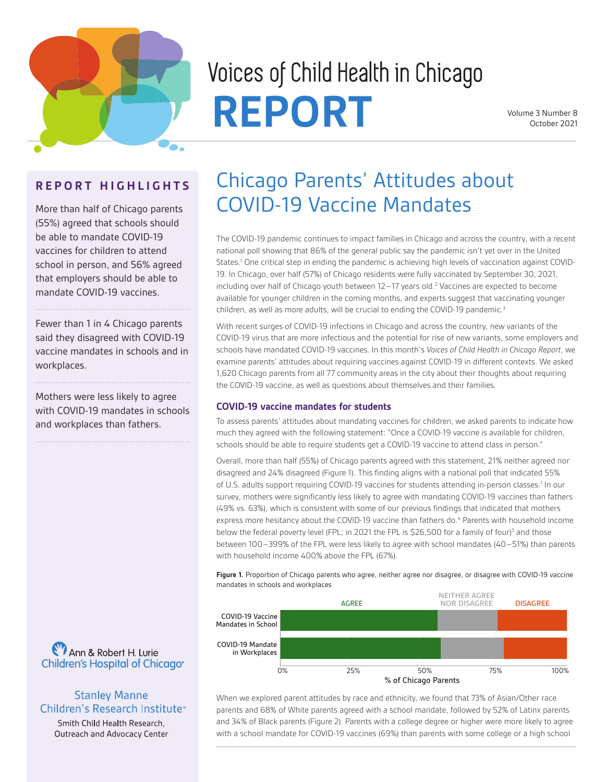

# Voices of Child Health in Chicago **REPORT** Volume 3 Number 8

## **R E P O R T H I G H L I G H T S**

More than half of Chicago parents (55%) agreed that schools should be able to mandate COVID-19 vaccines for children to attend school in person, and 56% agreed that employers should be able to mandate COVID-19 vaccines.

Fewer than 1 in 4 Chicago parents said they disagreed with COVID-19 vaccine mandates in schools and in workplaces.

Mothers were less likely to agree with COVID-19 mandates in schools and workplaces than fathers.



### **Stanley Manne** Children's Research Institute<sup>™</sup>

Smith Child Health Research, Outreach and Advocacy Center

# Chicago Parents' Attitudes about COVID-19 Vaccine Mandates

The COVID-19 pandemic continues to impact families in Chicago and across the country, with a recent national poll showing that 86% of the general public say the pandemic isn't yet over in the United States.<sup>1</sup> One critical step in ending the pandemic is achieving high levels of vaccination against COVID-19. In Chicago, over half (57%) of Chicago residents were fully vaccinated by September 30, 2021, including over half of Chicago youth between 12-17 years old.<sup>2</sup> Vaccines are expected to become available for younger children in the coming months, and experts suggest that vaccinating younger children, as well as more adults, will be crucial to ending the COVID-19 pandemic.<sup>3</sup>

With recent surges of COVID-19 infections in Chicago and across the country, new variants of the COVID-19 virus that are more infectious and the potential for rise of new variants, some employers and schools have mandated COVID-19 vaccines. In this month's *Voices of Child Health in Chicago Report*, we examine parents' attitudes about requiring vaccines against COVID-19 in different contexts. We asked 1,620 Chicago parents from all 77 community areas in the city about their thoughts about requiring the COVID-19 vaccine, as well as questions about themselves and their families.

#### **COVID-19 vaccine mandates for students**

To assess parents' attitudes about mandating vaccines for children, we asked parents to indicate how much they agreed with the following statement: "Once a COVID-19 vaccine is available for children, schools should be able to require students get a COVID-19 vaccine to attend class in person."

Overall, more than half (55%) of Chicago parents agreed with this statement, 21% neither agreed nor disagreed and 24% disagreed (Figure 1). This finding aligns with a national poll that indicated 55% of U.S. adults support requiring COVID-19 vaccines for students attending in-person classes.<sup>1</sup> In our survey, mothers were significantly less likely to agree with mandating COVID-19 vaccines than fathers (49% vs. 63%), which is consistent with some of our previous findings that indicated that mothers express more hesitancy about the COVID-19 vaccine than fathers do.<sup>4</sup> Parents with household income below the federal poverty level (FPL; in 2021 the FPL is \$26,500 for a family of four)<sup>5</sup> and those between 100–399% of the FPL were less likely to agree with school mandates (40–51%) than parents with household income 400% above the FPL (67%).

**Figure 1.** Proportion of Chicago parents who agree, neither agree nor disagree, or disagree with COVID-19 vaccine mandates in schools and workplaces



When we explored parent attitudes by race and ethnicity, we found that 73% of Asian/Other race parents and 68% of White parents agreed with a school mandate, followed by 52% of Latinx parents and 34% of Black parents (Figure 2). Parents with a college degree or higher were more likely to agree with a school mandate for COVID-19 vaccines (69%) than parents with some college or a high school